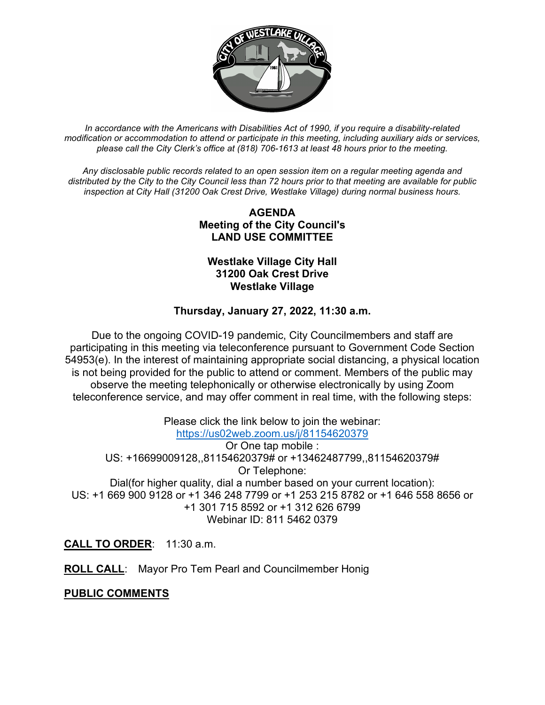

*In accordance with the Americans with Disabilities Act of 1990, if you require a disability-related modification or accommodation to attend or participate in this meeting, including auxiliary aids or services, please call the City Clerk's office at (818) 706-1613 at least 48 hours prior to the meeting.*

*Any disclosable public records related to an open session item on a regular meeting agenda and distributed by the City to the City Council less than 72 hours prior to that meeting are available for public inspection at City Hall (31200 Oak Crest Drive, Westlake Village) during normal business hours.* 

# **AGENDA Meeting of the City Council's LAND USE COMMITTEE**

### **Westlake Village City Hall 31200 Oak Crest Drive Westlake Village**

# **Thursday, January 27, 2022, 11:30 a.m.**

Due to the ongoing COVID-19 pandemic, City Councilmembers and staff are participating in this meeting via teleconference pursuant to Government Code Section 54953(e). In the interest of maintaining appropriate social distancing, a physical location is not being provided for the public to attend or comment. Members of the public may observe the meeting telephonically or otherwise electronically by using Zoom teleconference service, and may offer comment in real time, with the following steps:

Please click the link below to join the webinar: <https://us02web.zoom.us/j/81154620379> Or One tap mobile : US: +16699009128,,81154620379# or +13462487799,,81154620379# Or Telephone: Dial(for higher quality, dial a number based on your current location): US: +1 669 900 9128 or +1 346 248 7799 or +1 253 215 8782 or +1 646 558 8656 or +1 301 715 8592 or +1 312 626 6799 Webinar ID: 811 5462 0379

**CALL TO ORDER**: 11:30 a.m.

**ROLL CALL**: Mayor Pro Tem Pearl and Councilmember Honig

# **PUBLIC COMMENTS**